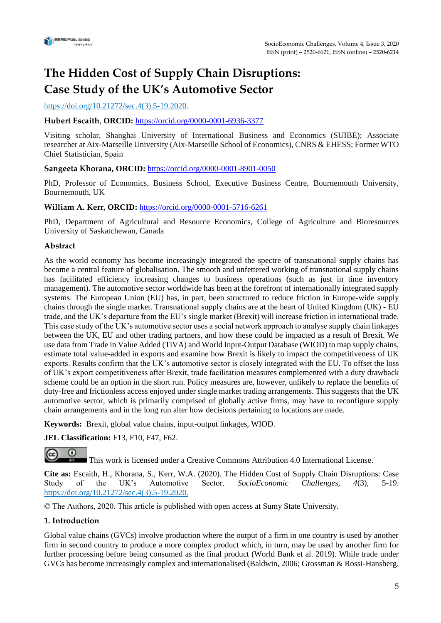

# **The Hidden Cost of Supply Chain Disruptions: Case Study of the UK's Automotive Sector**

## https://doi.org/10.21272/sec.4(3).5-19.2020.

## **Hubert Escaith**, **ORCID:** <https://orcid.org/0000-0001-6936-3377>

Visiting scholar, Shanghai University of International Business and Economics (SUIBE); Associate researcher at Aix-Marseille University (Aix-Marseille School of Economics), CNRS & EHESS; Former WTO Chief Statistician, Spain

### **Sangeeta Khorana, ORCID:** <https://orcid.org/0000-0001-8901-0050>

PhD, Professor of Economics, Business School, Executive Business Centre, Bournemouth University, Bournemouth, UK

### **William A. Kerr, ORCID:** <https://orcid.org/0000-0001-5716-6261>

PhD, Department of Agricultural and Resource Economics, [College of Agriculture and Bioresources](https://agbio.usask.ca/index.php) University of Saskatchewan, Canada

### **Abstract**

As the world economy has become increasingly integrated the spectre of transnational supply chains has become a central feature of globalisation. The smooth and unfettered working of transnational supply chains has facilitated efficiency increasing changes to business operations (such as just in time inventory management). The automotive sector worldwide has been at the forefront of internationally integrated supply systems. The European Union (EU) has, in part, been structured to reduce friction in Europe-wide supply chains through the single market. Transnational supply chains are at the heart of United Kingdom (UK) - EU trade, and the UK's departure from the EU's single market (Brexit) will increase friction in international trade. This case study of the UK's automotive sector uses a social network approach to analyse supply chain linkages between the UK, EU and other trading partners, and how these could be impacted as a result of Brexit. We use data from Trade in Value Added (TiVA) and World Input-Output Database (WIOD) to map supply chains, estimate total value-added in exports and examine how Brexit is likely to impact the competitiveness of UK exports. Results confirm that the UK's automotive sector is closely integrated with the EU. To offset the loss of UK's export competitiveness after Brexit, trade facilitation measures complemented with a duty drawback scheme could be an option in the short run. Policy measures are, however, unlikely to replace the benefits of duty-free and frictionless access enjoyed under single market trading arrangements. This suggests that the UK automotive sector, which is primarily comprised of globally active firms, may have to reconfigure supply chain arrangements and in the long run alter how decisions pertaining to locations are made.

**Keywords:** Brexit, global value chains, input-output linkages, WIOD.

**JEL Classification:** F13, F10, F47, F62.

This work is licensed under a Creative Commons Attribution 4.0 International License.

**Cite as:** Escaith, H., Khorana, S., Kerr, W.A. (2020). The Hidden Cost of Supply Chain Disruptions: Case Study of the UK's Automotive Sector. *SocioEconomic Challenges*, *4*(3), 5-19. https://doi.org/10.21272/sec.4(3).5-19.2020.

© The Authors, 2020. This article is published with open access at Sumy State University.

## **1. Introduction**

 $\Omega$ 

Global value chains (GVCs) involve production where the output of a firm in one country is used by another firm in second country to produce a more complex product which, in turn, may be used by another firm for further processing before being consumed as the final product (World Bank et al. 2019). While trade under GVCs has become increasingly complex and internationalised (Baldwin, 2006; Grossman & Rossi-Hansberg,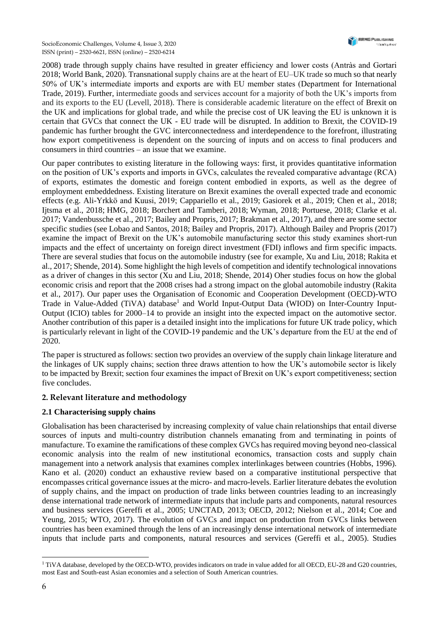SocioEconomic Challenges, Volume 4, Issue 3, 2020 ISSN (print) – 2520-6621, ISSN (online) – 2520-6214

2008) trade through supply chains have resulted in greater efficiency and lower costs (Antràs and Gortari 2018; World Bank, 2020). Transnational supply chains are at the heart of EU–UK trade so much so that nearly 50% of UK's intermediate imports and exports are with EU member states (Department for International Trade, 2019). Further, intermediate goods and services account for a majority of both the UK's imports from and its exports to the EU (Levell, 2018). There is considerable academic literature on the effect of Brexit on the UK and implications for global trade, and while the precise cost of UK leaving the EU is unknown it is certain that GVCs that connect the UK - EU trade will be disrupted. In addition to Brexit, the COVID-19 pandemic has further brought the GVC interconnectedness and interdependence to the forefront, illustrating how export competitiveness is dependent on the sourcing of inputs and on access to final producers and consumers in third countries – an issue that we examine.

Our paper contributes to existing literature in the following ways: first, it provides quantitative information on the position of UK's exports and imports in GVCs, calculates the revealed comparative advantage (RCA) of exports, estimates the domestic and foreign content embodied in exports, as well as the degree of employment embeddedness. Existing literature on Brexit examines the overall expected trade and economic effects (e.g. Ali-Yrkkö and Kuusi, 2019; [Cappariello](https://papers.ssrn.com/sol3/cf_dev/AbsByAuth.cfm?per_id=1143739) et al., 2019; [Gasiorek et al., 2019](http://blogs.sussex.ac.uk/uktpo/files/2018/02/Briefing-paper-16.pdf); [Chen et al., 2018;](https://onlinelibrary.wiley.com/doi/full/10.1111/pirs.12334) Ijtsma et al., 2018; [HMG, 2018;](https://ct24.ceskatelevize.cz/sites/default/files/2214446-28_november_eu_exit_-_long-term_economic_analysis.pdf) Borchert and Tamberi, 2018; [Wyman, 2018;](https://www.oliverwyman.com/content/dam/oliver-wyman/v2/publications/2018/july/Brexit_Costs_Up_Prices_Up.pdf) Portuese, 2018; [Clarke et al.](http://www.resolutionfoundation.org/app/uploads/2017/10/Changing-Lanes.pdf)  [2017;](http://www.resolutionfoundation.org/app/uploads/2017/10/Changing-Lanes.pdf) Vandenbussche et al., 2017; Bailey and Propris, 2017; Brakman et al., 2017), and there are some sector specific studies (see Lobao and Santos, 2018; Bailey and Propris, 2017). Although Bailey and Propris (2017) examine the impact of Brexit on the UK's automobile manufacturing sector this study examines short-run impacts and the effect of uncertainty on foreign direct investment (FDI) inflows and firm specific impacts. There are several studies that focus on the automobile industry (see for example, Xu and Liu, 2018; Rakita et al., 2017; Shende, 2014). Some highlight the high levels of competition and identify technological innovations as a driver of changes in this sector (Xu and Liu, 2018; Shende, 2014) Oher studies focus on how the global economic crisis and report that the 2008 crises had a strong impact on the global automobile industry (Rakita et al., 2017). Our paper uses the Organisation of Economic and Cooperation Development (OECD)-WTO Trade in Value-Added (TiVA) database<sup>1</sup> and World Input-Output Data (WIOD) on Inter-Country Input-Output (ICIO) tables for 2000–14 to provide an insight into the expected impact on the automotive sector. Another contribution of this paper is a detailed insight into the implications for future UK trade policy, which is particularly relevant in light of the COVID-19 pandemic and the UK's departure from the EU at the end of 2020.

The paper is structured as follows: section two provides an overview of the supply chain linkage literature and the linkages of UK supply chains; section three draws attention to how the UK's automobile sector is likely to be impacted by Brexit; section four examines the impact of Brexit on UK's export competitiveness; section five concludes.

## **2. Relevant literature and methodology**

## **2.1 Characterising supply chains**

Globalisation has been characterised by increasing complexity of value chain relationships that entail diverse sources of inputs and multi-country distribution channels emanating from and terminating in points of manufacture. To examine the ramifications of these complex GVCs has required moving beyond neo-classical economic analysis into the realm of new institutional economics, transaction costs and supply chain management into a network analysis that examines complex interlinkages between countries (Hobbs, 1996). Kano et al. (2020) conduct an exhaustive review based on a comparative institutional perspective that encompasses critical governance issues at the micro- and macro-levels. Earlier literature debates the evolution of supply chains, and the impact on production of trade links between countries leading to an increasingly dense international trade network of intermediate inputs that include parts and components, natural resources and business services (Gereffi et al., 2005; UNCTAD, 2013; OECD, 2012; Nielson et al., 2014; Coe and Yeung, 2015; WTO, 2017). The evolution of GVCs and impact on production from GVCs links between countries has been examined through the lens of an increasingly dense international network of intermediate inputs that include parts and components, natural resources and services (Gereffi et al., 2005). Studies

<sup>&</sup>lt;sup>1</sup> TiVA database, developed by the OECD-WTO, provides indicators on trade in value added for all OECD, EU-28 and G20 countries, most East and South-east Asian economies and a selection of South American countries.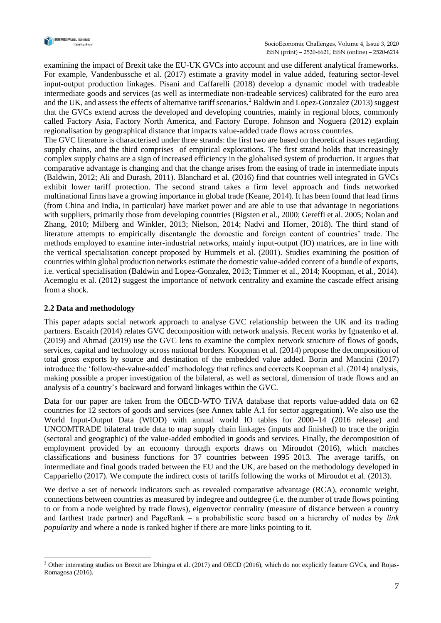

examining the impact of Brexit take the EU-UK GVCs into account and use different analytical frameworks. For example, Vandenbussche et al. (2017) estimate a gravity model in value added, featuring sector-level input-output production linkages. Pisani and Caffarelli (2018) develop a dynamic model with tradeable intermediate goods and services (as well as intermediate non-tradeable services) calibrated for the euro area and the UK, and assess the effects of alternative tariff scenarios.<sup>2</sup> Baldwin and Lopez-Gonzalez (2013) suggest that the GVCs extend across the developed and developing countries, mainly in regional blocs, commonly called Factory Asia, Factory North America, and Factory Europe. Johnson and Noguera (2012) explain regionalisation by geographical distance that impacts value-added trade flows across countries.

The GVC literature is characterised under three strands: the first two are based on theoretical issues regarding supply chains, and the third comprises of empirical explorations. The first strand holds that increasingly complex supply chains are a sign of increased efficiency in the globalised system of production. It argues that comparative advantage is changing and that the change arises from the easing of trade in intermediate inputs (Baldwin, 2012; Ali and Durash, 2011). Blanchard et al. (2016) find that countries well integrated in GVCs exhibit lower tariff protection. The second strand takes a firm level approach and finds networked multinational firms have a growing importance in global trade (Keane, 2014). It has been found that lead firms (from China and India, in particular) have market power and are able to use that advantage in negotiations with suppliers, primarily those from developing countries (Bigsten et al., 2000; Gereffi et al. 2005; Nolan and Zhang, 2010; Milberg and Winkler, 2013; Nielson, 2014; Nadvi and Horner, 2018). The third stand of literature attempts to empirically disentangle the domestic and foreign content of countries' trade. The methods employed to examine inter-industrial networks, mainly input-output (IO) matrices, are in line with the vertical specialisation concept proposed by Hummels et al. (2001). Studies examining the position of countries within global production networks estimate the domestic value-added content of a bundle of exports, i.e. vertical specialisation (Baldwin and Lopez-Gonzalez, 2013; Timmer et al., 2014; Koopman, et al., 2014). Acemoglu et al. (2012) suggest the importance of network centrality and examine the cascade effect arising from a shock.

## **2.2 Data and methodology**

This paper adapts social network approach to analyse GVC relationship between the UK and its trading partners. Escaith (2014) relates GVC decomposition with network analysis. Recent works by Ignatenko et al. (2019) and Ahmad (2019) use the GVC lens to examine the complex network structure of flows of goods, services, capital and technology across national borders. Koopman et al. (2014) propose the decomposition of total gross exports by source and destination of the embedded value added. Borin and Mancini (2017) introduce the 'follow-the-value-added' methodology that refines and corrects Koopman et al. (2014) analysis, making possible a proper investigation of the bilateral, as well as sectoral, dimension of trade flows and an analysis of a country's backward and forward linkages within the GVC.

Data for our paper are taken from the OECD-WTO TiVA database that reports value-added data on 62 countries for 12 sectors of goods and services (see Annex table A.1 for sector aggregation). We also use the World Input-Output Data (WIOD) with annual world IO tables for 2000–14 (2016 release) and UNCOMTRADE bilateral trade data to map supply chain linkages (inputs and finished) to trace the origin (sectoral and geographic) of the value-added embodied in goods and services. Finally, the decomposition of employment provided by an economy through exports draws on Miroudot (2016), which matches classifications and business functions for 37 countries between 1995–2013. The average tariffs, on intermediate and final goods traded between the EU and the UK, are based on the methodology developed in Cappariello (2017). We compute the indirect costs of tariffs following the works of Miroudot et al. (2013).

We derive a set of network indicators such as revealed comparative advantage (RCA), economic weight, connections between countries as measured by indegree and outdegree (i.e. the number of trade flows pointing to or from a node weighted by trade flows), eigenvector centrality (measure of distance between a country and farthest trade partner) and PageRank – a probabilistic score based on a hierarchy of nodes by *link popularity* and where a node is ranked higher if there are more links pointing to it.

<sup>&</sup>lt;sup>2</sup> Other interesting studies on Brexit are Dhingra et al. (2017) and OECD (2016), which do not explicitly feature GVCs, and Rojas-Romagosa (2016).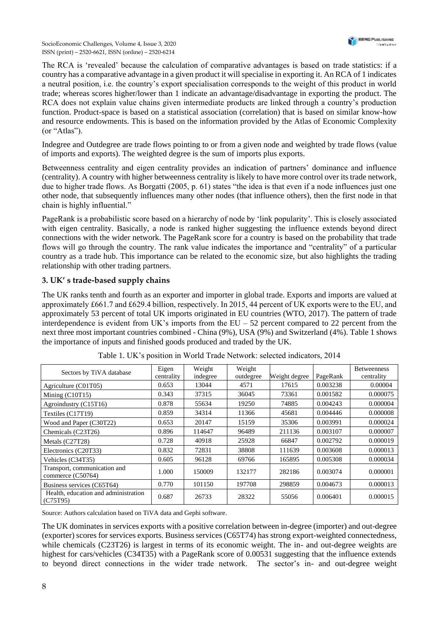SocioEconomic Challenges, Volume 4, Issue 3, 2020 ISSN (print) – 2520-6621, ISSN (online) – 2520-6214

The RCA is 'revealed' because the calculation of comparative advantages is based on trade statistics: if a country has a comparative advantage in a given product it will specialise in exporting it. An RCA of 1 indicates a neutral position, i.e. the country's export specialisation corresponds to the weight of this product in world trade; whereas scores higher/lower than 1 indicate an advantage/disadvantage in exporting the product. The RCA does not explain value chains given intermediate products are linked through a country's production function. Product-space is based on a statistical association (correlation) that is based on similar know-how and resource endowments. This is based on the information provided by the Atlas of Economic Complexity (or "Atlas").

Indegree and Outdegree are trade flows pointing to or from a given node and weighted by trade flows (value of imports and exports). The weighted degree is the sum of imports plus exports.

Betweenness centrality and eigen centrality provides an indication of partners' dominance and influence (centrality). A country with higher betweenness centrality is likely to have more control over its trade network, due to higher trade flows. As Borgatti (2005, p. 61) states "the idea is that even if a node influences just one other node, that subsequently influences many other nodes (that influence others), then the first node in that chain is highly influential."

PageRank is a probabilistic score based on a hierarchy of node by 'link popularity'. This is closely associated with eigen centrality. Basically, a node is ranked higher suggesting the influence extends beyond direct connections with the wider network. The PageRank score for a country is based on the probability that trade flows will go through the country. The rank value indicates the importance and "centrality" of a particular country as a trade hub. This importance can be related to the economic size, but also highlights the trading relationship with other trading partners.

## **3. UK' s trade-based supply chains**

The UK ranks tenth and fourth as an exporter and importer in global trade. Exports and imports are valued at approximately £661.7 and £629.4 billion, respectively. In 2015, 44 percent of UK exports were to the EU, and approximately 53 percent of total UK imports originated in EU countries (WTO, 2017). The pattern of trade interdependence is evident from UK's imports from the  $EU - 52$  percent compared to 22 percent from the next three most important countries combined - China (9%), USA (9%) and Switzerland (4%). Table 1 shows the importance of inputs and finished goods produced and traded by the UK.

| Sectors by TiVA database                          | Eigen<br>centrality | Weight<br>indegree | Weight<br>outdegree | Weight degree | PageRank | <b>Betweenness</b><br>centrality |
|---------------------------------------------------|---------------------|--------------------|---------------------|---------------|----------|----------------------------------|
| Agriculture (C01T05)                              | 0.653               | 13044              | 4571                | 17615         | 0.003238 | 0.00004                          |
| Mining $(C10T15)$                                 | 0.343               | 37315              | 36045               | 73361         | 0.001582 | 0.000075                         |
| Agroindustry (C15T16)                             | 0.878               | 55634              | 19250               | 74885         | 0.004243 | 0.000004                         |
| Textiles (C17T19)                                 | 0.859               | 34314              | 11366               | 45681         | 0.004446 | 0.000008                         |
| Wood and Paper (C30T22)                           | 0.653               | 20147              | 15159               | 35306         | 0.003991 | 0.000024                         |
| Chemicals (C23T26)                                | 0.896               | 114647             | 96489               | 211136        | 0.003107 | 0.000007                         |
| Metals (C27T28)                                   | 0.728               | 40918              | 25928               | 66847         | 0.002792 | 0.000019                         |
| Electronics (C20T33)                              | 0.832               | 72831              | 38808               | 111639        | 0.003608 | 0.000013                         |
| Vehicles (C34T35)                                 | 0.605               | 96128              | 69766               | 165895        | 0.005308 | 0.000034                         |
| Transport, communication and<br>commerce (C50764) | 1.000               | 150009             | 132177              | 282186        | 0.003074 | 0.000001                         |
| Business services (C65T64)                        | 0.770               | 101150             | 197708              | 298859        | 0.004673 | 0.000013                         |
| Health, education and administration<br>(C75T95)  | 0.687               | 26733              | 28322               | 55056         | 0.006401 | 0.000015                         |

| Table 1. UK's position in World Trade Network: selected indicators, 2014 |  |  |  |  |  |  |  |
|--------------------------------------------------------------------------|--|--|--|--|--|--|--|
|--------------------------------------------------------------------------|--|--|--|--|--|--|--|

Source: Authors calculation based on TiVA data and Gephi software.

The UK dominates in services exports with a positive correlation between in-degree (importer) and out-degree (exporter) scores for services exports. Business services (C65T74) has strong export-weighted connectedness, while chemicals (C23T26) is largest in terms of its economic weight. The in- and out-degree weights are highest for cars/vehicles (C34T35) with a PageRank score of 0.00531 suggesting that the influence extends to beyond direct connections in the wider trade network. The sector's in- and out-degree weight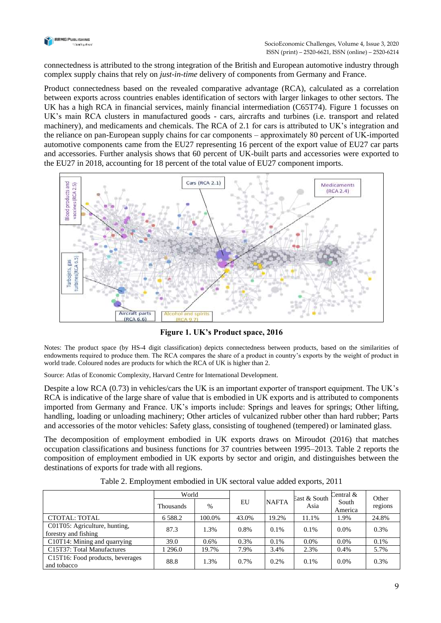

connectedness is attributed to the strong integration of the British and European automotive industry through complex supply chains that rely on *just-in-time* delivery of components from Germany and France.

Product connectedness based on the revealed comparative advantage (RCA), calculated as a correlation between exports across countries enables identification of sectors with larger linkages to other sectors. The UK has a high RCA in financial services, mainly financial intermediation (C65T74). Figure 1 focusses on UK's main RCA clusters in manufactured goods - cars, aircrafts and turbines (i.e. transport and related machinery), and medicaments and chemicals. The RCA of 2.1 for cars is attributed to UK's integration and the reliance on pan-European supply chains for car components ‒ approximately 80 percent of UK-imported automotive components came from the EU27 representing 16 percent of the export value of EU27 car parts and accessories. Further analysis shows that 60 percent of UK-built parts and accessories were exported to the EU27 in 2018, accounting for 18 percent of the total value of EU27 component imports.



**Figure 1. UK's Product space, 2016**

Notes: The product space (by HS-4 digit classification) depicts connectedness between products, based on the similarities of endowments required to produce them. The RCA compares the share of a product in country's exports by the weight of product in world trade. Coloured nodes are products for which the RCA of UK is higher than 2.

Source: Atlas of Economic Complexity, Harvard Centre for International Development.

Despite a low RCA (0.73) in vehicles/cars the UK is an important exporter of transport equipment. The UK's RCA is indicative of the large share of value that is embodied in UK exports and is attributed to components imported from Germany and France. UK's imports include: Springs and leaves for springs; Other lifting, handling, loading or unloading machinery; Other articles of vulcanized rubber other than hard rubber; Parts and accessories of the motor vehicles: Safety glass, consisting of toughened (tempered) or laminated glass.

The decomposition of employment embodied in UK exports draws on Miroudot (2016) that matches occupation classifications and business functions for 37 countries between 1995–2013. Table 2 reports the composition of employment embodied in UK exports by sector and origin, and distinguishes between the destinations of exports for trade with all regions.

|                                                       | World            |            |       |              | East & South | Central &        | Other   |
|-------------------------------------------------------|------------------|------------|-------|--------------|--------------|------------------|---------|
|                                                       | <b>Thousands</b> | EU<br>$\%$ |       | <b>NAFTA</b> | Asia         | South<br>America | regions |
| <b>CTOTAL: TOTAL</b>                                  | 6 5 8 8.2        | 100.0%     | 43.0% | 19.2%        | 11.1%        | 1.9%             | 24.8%   |
| C01T05: Agriculture, hunting,<br>forestry and fishing | 87.3             | 1.3%       | 0.8%  | $0.1\%$      | 0.1%         | $0.0\%$          | 0.3%    |
| C10T14: Mining and quarrying                          | 39.0             | 0.6%       | 0.3%  | 0.1%         | $0.0\%$      | $0.0\%$          | 0.1%    |
| C15T37: Total Manufactures                            | 296.0            | 19.7%      | 7.9%  | 3.4%         | 2.3%         | 0.4%             | 5.7%    |
| C15T16: Food products, beverages<br>and tobacco       | 88.8             | 1.3%       | 0.7%  | 0.2%         | 0.1%         | 0.0%             | 0.3%    |

Table 2. Employment embodied in UK sectoral value added exports, 2011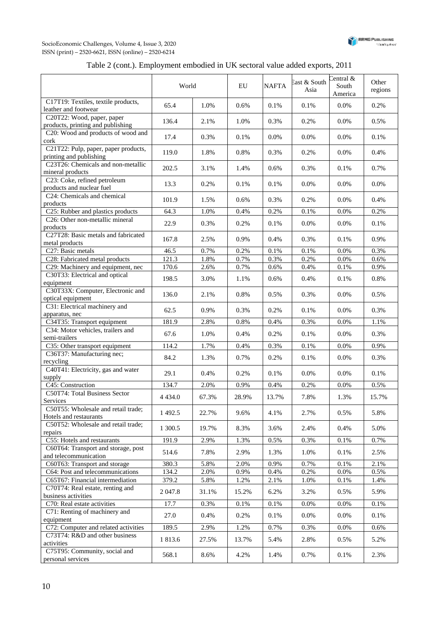



## Table 2 (cont.). Employment embodied in UK sectoral value added exports, 2011

|                                                                 | World      |       | EU    | <b>NAFTA</b> | East & South<br>Asia | Central &<br>South<br>America | Other<br>regions |
|-----------------------------------------------------------------|------------|-------|-------|--------------|----------------------|-------------------------------|------------------|
| C17T19: Textiles, textile products,<br>leather and footwear     | 65.4       | 1.0%  | 0.6%  | 0.1%         | 0.1%                 | 0.0%                          | 0.2%             |
| C20T22: Wood, paper, paper<br>products, printing and publishing | 136.4      | 2.1%  | 1.0%  | 0.3%         | 0.2%                 | 0.0%                          | 0.5%             |
| C20: Wood and products of wood and<br>cork                      | 17.4       | 0.3%  | 0.1%  | 0.0%         | $0.0\%$              | 0.0%                          | 0.1%             |
| C21T22: Pulp, paper, paper products,<br>printing and publishing | 119.0      | 1.8%  | 0.8%  | 0.3%         | 0.2%                 | 0.0%                          | 0.4%             |
| C23T26: Chemicals and non-metallic<br>mineral products          | 202.5      | 3.1%  | 1.4%  | 0.6%         | 0.3%                 | 0.1%                          | 0.7%             |
| C23: Coke, refined petroleum<br>products and nuclear fuel       | 13.3       | 0.2%  | 0.1%  | 0.1%         | 0.0%                 | 0.0%                          | $0.0\%$          |
| C24: Chemicals and chemical<br>products                         | 101.9      | 1.5%  | 0.6%  | 0.3%         | 0.2%                 | 0.0%                          | 0.4%             |
| C25: Rubber and plastics products                               | 64.3       | 1.0%  | 0.4%  | 0.2%         | 0.1%                 | 0.0%                          | 0.2%             |
| C26: Other non-metallic mineral<br>products                     | 22.9       | 0.3%  | 0.2%  | 0.1%         | 0.0%                 | 0.0%                          | 0.1%             |
| C27T28: Basic metals and fabricated<br>metal products           | 167.8      | 2.5%  | 0.9%  | 0.4%         | 0.3%                 | 0.1%                          | 0.9%             |
| C27: Basic metals                                               | 46.5       | 0.7%  | 0.2%  | 0.1%         | 0.1%                 | 0.0%                          | 0.3%             |
| C28: Fabricated metal products                                  | 121.3      | 1.8%  | 0.7%  | 0.3%         | 0.2%                 | 0.0%                          | 0.6%             |
| C29: Machinery and equipment, nec                               | 170.6      | 2.6%  | 0.7%  | 0.6%         | $0.4\%$              | $0.1\%$                       | $0.9\%$          |
| C30T33: Electrical and optical<br>equipment                     | 198.5      | 3.0%  | 1.1%  | 0.6%         | 0.4%                 | 0.1%                          | 0.8%             |
| C30T33X: Computer, Electronic and<br>optical equipment          | 136.0      | 2.1%  | 0.8%  | 0.5%         | 0.3%                 | 0.0%                          | 0.5%             |
| C31: Electrical machinery and<br>apparatus, nec                 | 62.5       | 0.9%  | 0.3%  | 0.2%         | 0.1%                 | 0.0%                          | 0.3%             |
| C34T35: Transport equipment                                     | 181.9      | 2.8%  | 0.8%  | 0.4%         | 0.3%                 | 0.0%                          | 1.1%             |
| C34: Motor vehicles, trailers and<br>semi-trailers              | 67.6       | 1.0%  | 0.4%  | 0.2%         | 0.1%                 | 0.0%                          | 0.3%             |
| C35: Other transport equipment                                  | 114.2      | 1.7%  | 0.4%  | 0.3%         | $0.1\%$              | 0.0%                          | 0.9%             |
| C36T37: Manufacturing nec;<br>recycling                         | 84.2       | 1.3%  | 0.7%  | 0.2%         | 0.1%                 | 0.0%                          | 0.3%             |
| C40T41: Electricity, gas and water<br>supply                    | 29.1       | 0.4%  | 0.2%  | 0.1%         | 0.0%                 | 0.0%                          | 0.1%             |
| C45: Construction                                               | 134.7      | 2.0%  | 0.9%  | 0.4%         | 0.2%                 | 0.0%                          | 0.5%             |
| C50T74: Total Business Sector<br>Services                       | 4 4 3 4 .0 | 67.3% | 28.9% | 13.7%        | 7.8%                 | 1.3%                          | 15.7%            |
| C50T55: Wholesale and retail trade;<br>Hotels and restaurants   | 1 492.5    | 22.7% | 9.6%  | 4.1%         | 2.7%                 | 0.5%                          | 5.8%             |
| C50T52: Wholesale and retail trade;<br>repairs                  | 1 300.5    | 19.7% | 8.3%  | 3.6%         | 2.4%                 | 0.4%                          | 5.0%             |
| C55: Hotels and restaurants                                     | 191.9      | 2.9%  | 1.3%  | 0.5%         | 0.3%                 | $0.1\%$                       | 0.7%             |
| C60T64: Transport and storage, post<br>and telecommunication    | 514.6      | 7.8%  | 2.9%  | 1.3%         | 1.0%                 | 0.1%                          | 2.5%             |
| C60T63: Transport and storage                                   | 380.3      | 5.8%  | 2.0%  | 0.9%         | 0.7%                 | 0.1%                          | 2.1%             |
| C64: Post and telecommunications                                | 134.2      | 2.0%  | 0.9%  | 0.4%         | 0.2%                 | 0.0%                          | 0.5%             |
| C65T67: Financial intermediation                                | 379.2      | 5.8%  | 1.2%  | 2.1%         | 1.0%                 | $0.1\%$                       | 1.4%             |
| C70T74: Real estate, renting and<br>business activities         | 2 047.8    | 31.1% | 15.2% | 6.2%         | 3.2%                 | 0.5%                          | 5.9%             |
| C70: Real estate activities                                     | 17.7       | 0.3%  | 0.1%  | 0.1%         | 0.0%                 | 0.0%                          | 0.1%             |
| C71: Renting of machinery and<br>equipment                      | 27.0       | 0.4%  | 0.2%  | 0.1%         | 0.0%                 | 0.0%                          | 0.1%             |
| C72: Computer and related activities                            | 189.5      | 2.9%  | 1.2%  | 0.7%         | 0.3%                 | 0.0%                          | 0.6%             |
| C73T74: R&D and other business                                  | 1813.6     | 27.5% | 13.7% | 5.4%         | 2.8%                 | 0.5%                          | 5.2%             |
| activities<br>C75T95: Community, social and                     | 568.1      | 8.6%  | 4.2%  | 1.4%         | 0.7%                 | 0.1%                          | 2.3%             |
| personal services                                               |            |       |       |              |                      |                               |                  |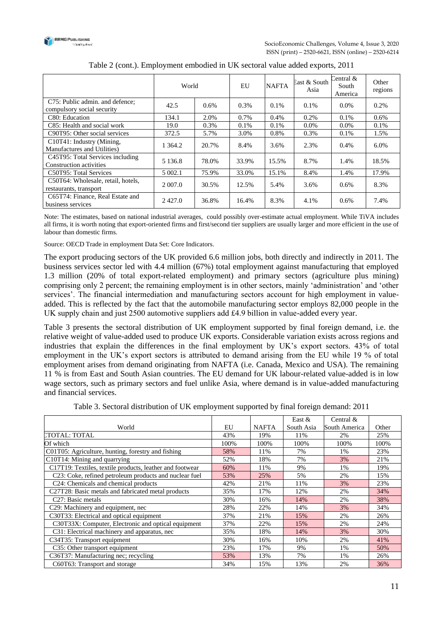

|                                                               | World      |         | EU    | <b>NAFTA</b> | East & South<br>Asia | Central &<br>South<br>America | Other<br>regions |
|---------------------------------------------------------------|------------|---------|-------|--------------|----------------------|-------------------------------|------------------|
| C75: Public admin. and defence;<br>compulsory social security | 42.5       | $0.6\%$ | 0.3%  | 0.1%         | $0.1\%$              | $0.0\%$                       | 0.2%             |
| C80: Education                                                | 134.1      | 2.0%    | 0.7%  | 0.4%         | $0.2\%$              | 0.1%                          | $0.6\%$          |
| C85: Health and social work                                   | 19.0       | 0.3%    | 0.1%  | 0.1%         | $0.0\%$              | $0.0\%$                       | 0.1%             |
| C90T95: Other social services                                 | 372.5      | 5.7%    | 3.0%  | 0.8%         | $0.3\%$              | 0.1%                          | 1.5%             |
| C10T41: Industry (Mining,<br>Manufactures and Utilities)      | 1 3 6 4 .2 | 20.7%   | 8.4%  | 3.6%         | 2.3%                 | $0.4\%$                       | 6.0%             |
| C45T95: Total Services including<br>Construction activities   | 5 1 3 6 .8 | 78.0%   | 33.9% | 15.5%        | 8.7%                 | 1.4%                          | 18.5%            |
| C50T95: Total Services                                        | 5 002.1    | 75.9%   | 33.0% | 15.1%        | 8.4%                 | 1.4%                          | 17.9%            |
| C50T64: Wholesale, retail, hotels,<br>restaurants, transport  | 2 0 0 7 .0 | 30.5%   | 12.5% | 5.4%         | 3.6%                 | 0.6%                          | 8.3%             |
| C65T74: Finance, Real Estate and<br>business services         | 2427.0     | 36.8%   | 16.4% | 8.3%         | 4.1%                 | 0.6%                          | 7.4%             |

| Table 2 (cont.). Employment embodied in UK sectoral value added exports, 2011 |  |  |
|-------------------------------------------------------------------------------|--|--|
|                                                                               |  |  |

Note: The estimates, based on national industrial averages, could possibly over-estimate actual employment. While TiVA includes all firms, it is worth noting that export-oriented firms and first/second tier suppliers are usually larger and more efficient in the use of labour than domestic firms.

Source: OECD Trade in employment Data Set: Core Indicators.

The export producing sectors of the UK provided 6.6 million jobs, both directly and indirectly in 2011. The business services sector led with 4.4 million (67%) total employment against manufacturing that employed 1.3 million (20% of total export-related employment) and primary sectors (agriculture plus mining) comprising only 2 percent; the remaining employment is in other sectors, mainly 'administration' and 'other services'. The financial intermediation and manufacturing sectors account for high employment in valueadded. This is reflected by the fact that the automobile manufacturing sector employs 82,000 people in the UK supply chain and just 2500 automotive suppliers add £4.9 billion in value-added every year.

Table 3 presents the sectoral distribution of UK employment supported by final foreign demand, i.e. the relative weight of value-added used to produce UK exports. Considerable variation exists across regions and industries that explain the differences in the final employment by UK's export sectors. 43% of total employment in the UK's export sectors is attributed to demand arising from the EU while 19 % of total employment arises from demand originating from NAFTA (i.e. Canada, Mexico and USA). The remaining 11 % is from East and South Asian countries. The EU demand for UK labour-related value-added is in low wage sectors, such as primary sectors and fuel unlike Asia, where demand is in value-added manufacturing and financial services.

| Table 3. Sectoral distribution of UK employment supported by final foreign demand: 2011 |  |  |
|-----------------------------------------------------------------------------------------|--|--|
|-----------------------------------------------------------------------------------------|--|--|

|                                                          |      |              | East $&$   | Central $\&$  |       |
|----------------------------------------------------------|------|--------------|------------|---------------|-------|
| World                                                    | EU   | <b>NAFTA</b> | South Asia | South America | Other |
| LTOTAL: TOTAL                                            | 43%  | 19%          | 11%        | 2%            | 25%   |
| Of which                                                 | 100% | 100%         | 100%       | 100%          | 100%  |
| C01T05: Agriculture, hunting, forestry and fishing       | 58%  | 11%          | 7%         | 1%            | 23%   |
| $\overline{C10}T14$ : Mining and quarrying               | 52%  | 18%          | 7%         | 3%            | 21%   |
| C17T19: Textiles, textile products, leather and footwear | 60%  | 11%          | 9%         | 1%            | 19%   |
| C23: Coke, refined petroleum products and nuclear fuel   | 53%  | 25%          | 5%         | 2%            | 15%   |
| C24: Chemicals and chemical products                     | 42%  | 21%          | 11%        | 3%            | 23%   |
| C27T28: Basic metals and fabricated metal products       | 35%  | 17%          | 12%        | 2%            | 34%   |
| C <sub>27</sub> : Basic metals                           | 30%  | 16%          | 14%        | 2%            | 38%   |
| C <sub>29</sub> : Machinery and equipment, nec           | 28%  | 22%          | 14%        | 3%            | 34%   |
| C30T33: Electrical and optical equipment                 | 37%  | 21%          | 15%        | 2%            | 26%   |
| C30T33X: Computer, Electronic and optical equipment      | 37%  | 22%          | 15%        | 2%            | 24%   |
| C31: Electrical machinery and apparatus, nec             | 35%  | 18%          | 14%        | 3%            | 30%   |
| C34T35: Transport equipment                              | 30%  | 16%          | 10%        | 2%            | 41%   |
| C35: Other transport equipment                           | 23%  | 17%          | 9%         | 1%            | 50%   |
| C36T37: Manufacturing nec; recycling                     | 53%  | 13%          | 7%         | 1%            | 26%   |
| C60T63: Transport and storage                            | 34%  | 15%          | 13%        | 2%            | 36%   |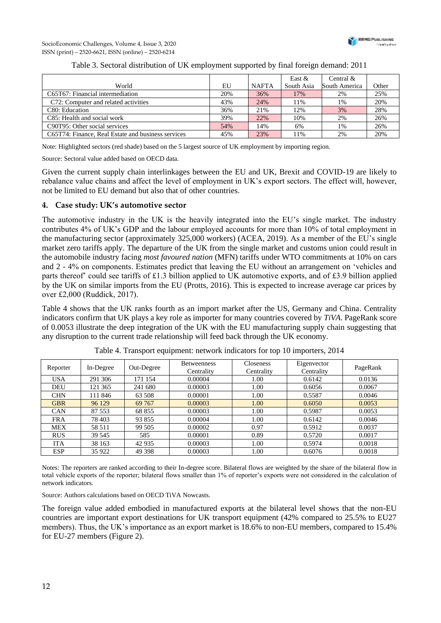

|                                                    |     |              | East $&$   | Central $\&$  |       |
|----------------------------------------------------|-----|--------------|------------|---------------|-------|
| World                                              | EU  | <b>NAFTA</b> | South Asia | South America | Other |
| C65T67: Financial intermediation                   | 20% | 36%          | 17%        | 2%            | 25%   |
| C72: Computer and related activities               | 43% | 24%          | 11%        | 1%            | 20%   |
| C80: Education                                     | 36% | 21%          | 12%        | 3%            | 28%   |
| C85: Health and social work                        | 39% | 22%          | 10%        | 2%            | 26%   |
| C90T95: Other social services                      | 54% | 14%          | 6%         | 1%            | 26%   |
| C65T74: Finance, Real Estate and business services | 45% | 23%          | 11%        | 2%            | 20%   |

### Table 3. Sectoral distribution of UK employment supported by final foreign demand: 2011

Note: Highlighted sectors (red shade) based on the 5 largest source of UK employment by importing region.

Source: Sectoral value added based on OECD data.

Given the current supply chain interlinkages between the EU and UK, Brexit and COVID-19 are likely to rebalance value chains and affect the level of employment in UK's export sectors. The effect will, however, not be limited to EU demand but also that of other countries.

#### **4. Case study: UK's automotive sector**

The automotive industry in the UK is the heavily integrated into the EU's single market. The industry contributes 4% of UK's GDP and the labour employed accounts for more than 10% of total employment in the manufacturing sector (approximately 325,000 workers) (ACEA, 2019). As a member of the EU's single market zero tariffs apply. The departure of the UK from the single market and customs union could result in the automobile industry facing *most favoured nation* (MFN) tariffs under WTO commitments at 10% on cars and 2 - 4% on components. Estimates predict that leaving the EU without an arrangement on 'vehicles and parts thereof' could see tariffs of £1.3 billion applied to UK automotive exports, and of £3.9 billion applied by the UK on similar imports from the EU (Protts, 2016). This is expected to increase average car prices by over £2,000 (Ruddick, 2017).

Table 4 shows that the UK ranks fourth as an import market after the US, Germany and China. Centrality indicators confirm that UK plays a key role as importer for many countries covered by *TiVA*. PageRank score of 0.0053 illustrate the deep integration of the UK with the EU manufacturing supply chain suggesting that any disruption to the current trade relationship will feed back through the UK economy.

| Reporter   | In-Degree | Out-Degree | <b>Betweenness</b><br>Centrality | Closeness<br>Centrality | Eigenvector<br>Centrality | PageRank |
|------------|-----------|------------|----------------------------------|-------------------------|---------------------------|----------|
| <b>USA</b> | 291 306   | 171 154    | 0.00004                          | 1.00                    | 0.6142                    | 0.0136   |
| <b>DEU</b> | 121 365   | 241 680    | 0.00003                          | 1.00                    | 0.6056                    | 0.0067   |
| <b>CHN</b> | 11 846    | 63 508     | 0.00001                          | 1.00                    | 0.5587                    | 0.0046   |
| <b>GBR</b> | 96 129    | 69 767     | 0.00003                          | 1.00                    | 0.6050                    | 0.0053   |
| <b>CAN</b> | 87 553    | 68 855     | 0.00003                          | 1.00                    | 0.5987                    | 0.0053   |
| <b>FRA</b> | 78 403    | 93 855     | 0.00004                          | 1.00                    | 0.6142                    | 0.0046   |
| <b>MEX</b> | 58 511    | 99 505     | 0.00002                          | 0.97                    | 0.5912                    | 0.0037   |
| <b>RUS</b> | 39 545    | 585        | 0.00001                          | 0.89                    | 0.5720                    | 0.0017   |
| <b>ITA</b> | 38 163    | 42 9 35    | 0.00003                          | 1.00                    | 0.5974                    | 0.0018   |
| <b>ESP</b> | 35 922    | 49 398     | 0.00003                          | 1.00                    | 0.6076                    | 0.0018   |

Table 4. Transport equipment: network indicators for top 10 importers, 2014

Notes: The reporters are ranked according to their In-degree score. Bilateral flows are weighted by the share of the bilateral flow in total vehicle exports of the reporter; bilateral flows smaller than 1% of reporter's exports were not considered in the calculation of network indicators.

Source: Authors calculations based on OECD TiVA Nowcasts.

The foreign value added embodied in manufactured exports at the bilateral level shows that the non-EU countries are important export destinations for UK transport equipment (42% compared to 25.5% to EU27 members). Thus, the UK's importance as an export market is 18.6% to non-EU members, compared to 15.4% for EU-27 members (Figure 2).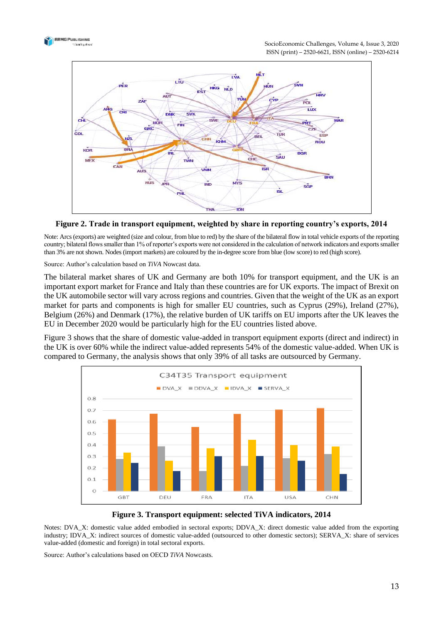



**Figure 2. Trade in transport equipment, weighted by share in reporting country's exports, 2014**

Note: Arcs (exports) are weighted (size and colour, from blue to red) by the share of the bilateral flow in total vehicle exports of the reporting country; bilateral flows smaller than 1% of reporter's exports were not considered in the calculation of network indicators and exports smaller than 3% are not shown. Nodes (import markets) are coloured by the in-degree score from blue (low score) to red (high score).

Source: Author's calculation based on *TiVA* Nowcast data.

The bilateral market shares of UK and Germany are both 10% for transport equipment, and the UK is an important export market for France and Italy than these countries are for UK exports. The impact of Brexit on the UK automobile sector will vary across regions and countries. Given that the weight of the UK as an export market for parts and components is high for smaller EU countries, such as Cyprus (29%), Ireland (27%), Belgium (26%) and Denmark (17%), the relative burden of UK tariffs on EU imports after the UK leaves the EU in December 2020 would be particularly high for the EU countries listed above.

Figure 3 shows that the share of domestic value-added in transport equipment exports (direct and indirect) in the UK is over 60% while the indirect value-added represents 54% of the domestic value-added. When UK is compared to Germany, the analysis shows that only 39% of all tasks are outsourced by Germany.



**Figure 3. Transport equipment: selected TiVA indicators, 2014**

Notes: DVA\_X: domestic value added embodied in sectoral exports; DDVA\_X: direct domestic value added from the exporting industry; IDVA\_X: indirect sources of domestic value-added (outsourced to other domestic sectors); SERVA\_X: share of services value-added (domestic and foreign) in total sectoral exports.

Source: Author's calculations based on OECD *TiVA* Nowcasts.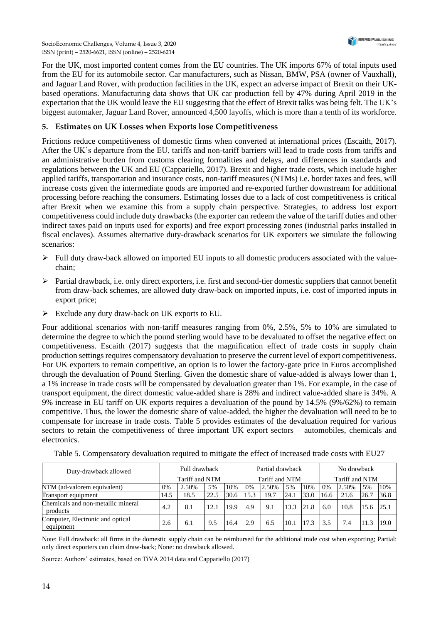

For the UK, most imported content comes from the EU countries. The UK imports 67% of total inputs used from the EU for its automobile sector. Car manufacturers, such as Nissan, BMW, PSA (owner of Vauxhall), and Jaguar Land Rover, with production facilities in the UK, expect an adverse impact of Brexit on their UKbased operations. Manufacturing data shows that UK car production fell by 47% during April 2019 in the expectation that the UK would leave the EU suggesting that the effect of Brexit talks was being felt. The UK's biggest automaker, Jaguar Land Rover, announced 4,500 layoffs, which is more than a tenth of its workforce.

## **5. Estimates on UK Losses when Exports lose Competitiveness**

Frictions reduce competitiveness of domestic firms when converted at international prices (Escaith, 2017). After the UK's departure from the EU, tariffs and non-tariff barriers will lead to trade costs from tariffs and an administrative burden from customs clearing formalities and delays, and differences in standards and regulations between the UK and EU (Cappariello, 2017). Brexit and higher trade costs, which include higher applied tariffs, transportation and insurance costs, non-tariff measures (NTMs) i.e. border taxes and fees, will increase costs given the intermediate goods are imported and re-exported further downstream for additional processing before reaching the consumers. Estimating losses due to a lack of cost competitiveness is critical after Brexit when we examine this from a supply chain perspective. Strategies, to address lost export competitiveness could include duty drawbacks (the exporter can redeem the value of the tariff duties and other indirect taxes paid on inputs used for exports) and free export processing zones (industrial parks installed in fiscal enclaves). Assumes alternative duty-drawback scenarios for UK exporters we simulate the following scenarios:

- $\triangleright$  Full duty draw-back allowed on imported EU inputs to all domestic producers associated with the valuechain;
- $\triangleright$  Partial drawback, i.e. only direct exporters, i.e. first and second-tier domestic suppliers that cannot benefit from draw-back schemes, are allowed duty draw-back on imported inputs, i.e. cost of imported inputs in export price;
- $\triangleright$  Exclude any duty draw-back on UK exports to EU.

Four additional scenarios with non-tariff measures ranging from 0%, 2.5%, 5% to 10% are simulated to determine the degree to which the pound sterling would have to be devaluated to offset the negative effect on competitiveness. Escaith (2017) suggests that the magnification effect of trade costs in supply chain production settings requires compensatory devaluation to preserve the current level of export competitiveness. For UK exporters to remain competitive, an option is to lower the factory-gate price in Euros accomplished through the devaluation of Pound Sterling. Given the domestic share of value-added is always lower than 1, a 1% increase in trade costs will be compensated by devaluation greater than 1%. For example, in the case of transport equipment, the direct domestic value-added share is 28% and indirect value-added share is 34%. A 9% increase in EU tariff on UK exports requires a devaluation of the pound by 14.5% (9%/62%) to remain competitive. Thus, the lower the domestic share of value-added, the higher the devaluation will need to be to compensate for increase in trade costs. Table 5 provides estimates of the devaluation required for various sectors to retain the competitiveness of three important UK export sectors – automobiles, chemicals and electronics.

| Duty-drawback allowed                          |      | Full drawback  |      |      | Partial drawback |       |      | No drawback    |      |       |      |      |
|------------------------------------------------|------|----------------|------|------|------------------|-------|------|----------------|------|-------|------|------|
|                                                |      | Tariff and NTM |      |      | Tariff and NTM   |       |      | Tariff and NTM |      |       |      |      |
| NTM (ad-valorem equivalent)                    | 0%   | 2.50%          | 5%   | 10%  | 0%               | 2.50% | 5%   | 10%            | 0%   | 2.50% | 5%   | 10%  |
| Transport equipment                            | 14.5 | 18.5           | 22.5 | 30.6 | 15.3             | 19.7  | 24.1 | 33.0           | 16.6 | 21.6  | 26.7 | 36.8 |
| Chemicals and non-metallic mineral<br>products | 4.2  | 8.1            | 12.1 | 19.9 | 4.9              | 9.1   | 13.3 | 21.8           | 6.0  | 10.8  | 15.6 | 25.1 |
| Computer, Electronic and optical<br>equipment  | 2.6  | 6.1            | 9.5  | 16.4 | 2.9              | 6.5   | 10.1 | 17.3           | 3.5  | 7.4   | 11.3 | 19.0 |

Table 5. Compensatory devaluation required to mitigate the effect of increased trade costs with EU27

Note: Full drawback: all firms in the domestic supply chain can be reimbursed for the additional trade cost when exporting; Partial: only direct exporters can claim draw-back; None: no drawback allowed.

Source: Authors' estimates, based on TiVA 2014 data and Cappariello (2017)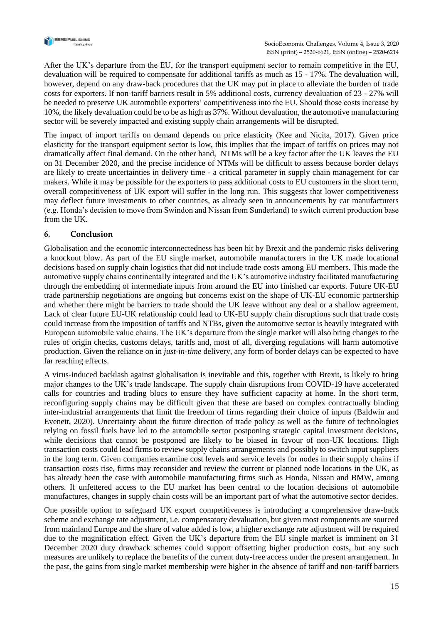

After the UK's departure from the EU, for the transport equipment sector to remain competitive in the EU, devaluation will be required to compensate for additional tariffs as much as 15 - 17%. The devaluation will, however, depend on any draw-back procedures that the UK may put in place to alleviate the burden of trade costs for exporters. If non-tariff barriers result in 5% additional costs, currency devaluation of 23 - 27% will be needed to preserve UK automobile exporters' competitiveness into the EU. Should those costs increase by 10%, the likely devaluation could be to be as high as 37%. Without devaluation, the automotive manufacturing sector will be severely impacted and existing supply chain arrangements will be disrupted.

The impact of import tariffs on demand depends on price elasticity (Kee and Nicita, 2017). Given price elasticity for the transport equipment sector is low, this implies that the impact of tariffs on prices may not dramatically affect final demand. On the other hand, NTMs will be a key factor after the UK leaves the EU on 31 December 2020, and the precise incidence of NTMs will be difficult to assess because border delays are likely to create uncertainties in delivery time - a critical parameter in supply chain management for car makers. While it may be possible for the exporters to pass additional costs to EU customers in the short term, overall competitiveness of UK export will suffer in the long run. This suggests that lower competitiveness may deflect future investments to other countries, as already seen in announcements by car manufacturers (e.g. Honda's decision to move from Swindon and Nissan from Sunderland) to switch current production base from the UK.

## **6. Conclusion**

Globalisation and the economic interconnectedness has been hit by Brexit and the pandemic risks delivering a knockout blow. As part of the EU single market, automobile manufacturers in the UK made locational decisions based on supply chain logistics that did not include trade costs among EU members. This made the automotive supply chains continentally integrated and the UK's automotive industry facilitated manufacturing through the embedding of intermediate inputs from around the EU into finished car exports. Future UK-EU trade partnership negotiations are ongoing but concerns exist on the shape of UK-EU economic partnership and whether there might be barriers to trade should the UK leave without any deal or a shallow agreement. Lack of clear future EU-UK relationship could lead to UK-EU supply chain disruptions such that trade costs could increase from the imposition of tariffs and NTBs, given the automotive sector is heavily integrated with European automobile value chains. The UK's departure from the single market will also bring changes to the rules of origin checks, customs delays, tariffs and, most of all, diverging regulations will harm automotive production. Given the reliance on in *just-in-time* delivery, any form of border delays can be expected to have far reaching effects.

A virus-induced backlash against globalisation is inevitable and this, together with Brexit, is likely to bring major changes to the UK's trade landscape. The supply chain disruptions from COVID-19 have accelerated calls for countries and trading blocs to ensure they have sufficient capacity at home. In the short term, reconfiguring supply chains may be difficult given that these are based on complex contractually binding inter-industrial arrangements that limit the freedom of firms regarding their choice of inputs (Baldwin and Evenett, 2020). Uncertainty about the future direction of trade policy as well as the future of technologies relying on fossil fuels have led to the automobile sector postponing strategic capital investment decisions, while decisions that cannot be postponed are likely to be biased in favour of non-UK locations. High transaction costs could lead firms to review supply chains arrangements and possibly to switch input suppliers in the long term. Given companies examine cost levels and service levels for nodes in their supply chains if transaction costs rise, firms may reconsider and review the current or planned node locations in the UK, as has already been the case with automobile manufacturing firms such as Honda, Nissan and BMW, among others. If unfettered access to the EU market has been central to the location decisions of automobile manufactures, changes in supply chain costs will be an important part of what the automotive sector decides.

One possible option to safeguard UK export competitiveness is introducing a comprehensive draw-back scheme and exchange rate adjustment, i.e. compensatory devaluation, but given most components are sourced from mainland Europe and the share of value added is low, a higher exchange rate adjustment will be required due to the magnification effect. Given the UK's departure from the EU single market is imminent on 31 December 2020 duty drawback schemes could support offsetting higher production costs, but any such measures are unlikely to replace the benefits of the current duty-free access under the present arrangement. In the past, the gains from single market membership were higher in the absence of tariff and non-tariff barriers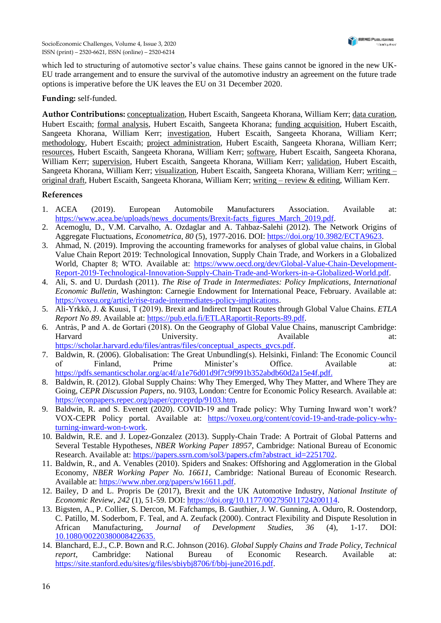which led to structuring of automotive sector's value chains. These gains cannot be ignored in the new UK-EU trade arrangement and to ensure the survival of the automotive industry an agreement on the future trade options is imperative before the UK leaves the EU on 31 December 2020.

#### **Funding:** self-funded.

**Author Contributions:** conceptualization, Hubert Escaith, Sangeeta Khorana, William Kerr; data curation, Hubert Escaith; formal analysis, Hubert Escaith, Sangeeta Khorana; funding acquisition, Hubert Escaith, Sangeeta Khorana, William Kerr; investigation, Hubert Escaith, Sangeeta Khorana, William Kerr; methodology, Hubert Escaith; project administration, Hubert Escaith, Sangeeta Khorana, William Kerr; resources, Hubert Escaith, Sangeeta Khorana, William Kerr; software, Hubert Escaith, Sangeeta Khorana, William Kerr; supervision, Hubert Escaith, Sangeeta Khorana, William Kerr; validation, Hubert Escaith, Sangeeta Khorana, William Kerr; visualization, Hubert Escaith, Sangeeta Khorana, William Kerr; writing – original draft, Hubert Escaith, Sangeeta Khorana, William Kerr; writing – review & editing, William Kerr.

#### **References**

- 1. ACEA (2019). European Automobile Manufacturers Association. Available at: [https://www.acea.be/uploads/news\\_documents/Brexit-facts\\_figures\\_March\\_2019.pdf.](https://www.acea.be/uploads/news_documents/Brexit-facts_figures_March_2019.pdf)
- 2. Acemoglu, D., V.M. Carvalho, A. Ozdaglar and A. Tahbaz-Salehi (2012). The Network Origins of Aggregate Fluctuations, *Econometrica*, *80* (5), 1977-2016. DOI: [https://doi.org/10.3982/ECTA9623.](https://doi.org/10.3982/ECTA9623)
- 3. Ahmad, N. (2019). Improving the accounting frameworks for analyses of global value chains, in Global Value Chain Report 2019: Technological Innovation, Supply Chain Trade, and Workers in a Globalized World, Chapter 8; WTO. Available at: [https://www.oecd.org/dev/Global-Value-Chain-Development-](https://www.oecd.org/dev/Global-Value-Chain-Development-Report-2019-Technological-Innovation-Supply-Chain-Trade-and-Workers-in-a-Globalized-World.pdf)[Report-2019-Technological-Innovation-Supply-Chain-Trade-and-Workers-in-a-Globalized-World.pdf.](https://www.oecd.org/dev/Global-Value-Chain-Development-Report-2019-Technological-Innovation-Supply-Chain-Trade-and-Workers-in-a-Globalized-World.pdf)
- 4. Ali, S. and U. Durdash (2011). *The Rise of Trade in Intermediates: Policy Implications, International Economic Bulletin*, Washington: Carnegie Endowment for International Peace, February. Available at: [https://voxeu.org/article/rise-trade-intermediates-policy-implications.](https://voxeu.org/article/rise-trade-intermediates-policy-implications)
- 5. Ali-Yrkkö, J. & Kuusi, T (2019). Brexit and Indirect Impact Routes through Global Value Chains. *ETLA Report No 89*. Available at: [https://pub.etla.fi/ETLARaportit-Reports-89.pdf.](https://pub.etla.fi/ETLARaportit-Reports-89.pdf)
- 6. Antràs, P and A. de Gortari (2018). On the Geography of Global Value Chains, manuscript Cambridge: Harvard University. Available at: [https://scholar.harvard.edu/files/antras/files/conceptual\\_aspects\\_gvcs.pdf.](https://scholar.harvard.edu/files/antras/files/conceptual_aspects_gvcs.pdf)
- 7. Baldwin, R. (2006). Globalisation: The Great Unbundling(s). Helsinki, Finland: The Economic Council of Finland, Prime Minister's Office. Available at: [https://pdfs.semanticscholar.org/ac4f/a](https://pdfs.semanticscholar.org/ac4f/)1e76d01d9f7c9f991b352abdb60d2a15e4f.pdf.
- 8. Baldwin, R. (2012). Global Supply Chains: Why They Emerged, Why They Matter, and Where They are Going, *CEPR Discussion Papers*, no. 9103, London: Centre for Economic Policy Research. Available at: [https://econpapers.repec.org/paper/cprceprdp/9103.htm.](https://econpapers.repec.org/paper/cprceprdp/9103.htm)
- 9. Baldwin, R. and S. Evenett (2020). COVID-19 and Trade policy: Why Turning Inward won't work? VOX-CEPR Policy portal. Available at: [https://voxeu.org/content/covid-19-and-trade-policy-why](https://voxeu.org/content/covid-19-and-trade-policy-why-turning-inward-won-t-work)[turning-inward-won-t-work.](https://voxeu.org/content/covid-19-and-trade-policy-why-turning-inward-won-t-work)
- 10. Baldwin, R.E. and J. Lopez-Gonzalez (2013). Supply-Chain Trade: A Portrait of Global Patterns and Several Testable Hypotheses, *NBER Working Paper 18957*, Cambridge: National Bureau of Economic Research. Available at: [https://papers.ssrn.com/sol3/papers.cfm?abstract\\_id=2251702.](https://papers.ssrn.com/sol3/papers.cfm?abstract_id=2251702)
- 11. Baldwin, R., and A. Venables (2010). Spiders and Snakes: Offshoring and Agglomeration in the Global Economy, *NBER Working Paper No. 16611*, Cambridge: National Bureau of Economic Research. Available at: [https://www.nber.org/papers/w16611.pdf.](https://www.nber.org/papers/w16611.pdf)
- 12. Bailey, D and L. Propris De (2017), Brexit and the UK Automotive Industry, *National Institute of Economic Review*, *242* (1), 51-59. DOI: [https://doi.org/10.1177/002795011724200114.](https://doi.org/10.1177/002795011724200114)
- 13. Bigsten, A., P. Collier, S. Dercon, M. Fafchamps, B. Gauthier, J. W. Gunning, A. Oduro, R. Oostendorp, C. Patillo, M. Soderbom, F. Teal, and A. Zeufack (2000). Contract Flexibility and Dispute Resolution in African Manufacturing, *Journal of Development Studies*, *36* (4), 1-17. DOI: 10.1080/00220380008422635.
- 14. Blanchard, E.J., C.P. Bown and R.C. Johnson (2016). *Global Supply Chains and Trade Policy, Technical report,* Cambridge: National Bureau of Economic Research. Available at: [https://site.stanford.edu/sites/g/files/sbiybj8706/f/bbj-june2016.pdf.](https://site.stanford.edu/sites/g/files/sbiybj8706/f/bbj-june2016.pdf)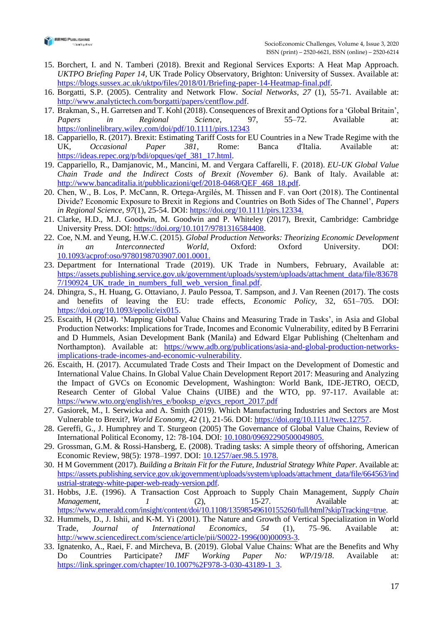

- 15. Borchert, I. and N. Tamberi (2018). Brexit and Regional Services Exports: A Heat Map Approach. *UKTPO Briefing Paper 14*, UK Trade Policy Observatory, Brighton: University of Sussex. Available at: [https://blogs.sussex.ac.uk/uktpo/files/2018/01/Briefing-paper-14-Heatmap-final.pdf.](https://blogs.sussex.ac.uk/uktpo/files/2018/01/Briefing-paper-14-Heatmap-final.pdf)
- 16. Borgatti, S.P. (2005). Centrality and Network Flow. *Social Networks*, *27* (1), 55-71. Available at: [http://www.analytictech.com/borgatti/papers/centflow.pdf.](http://www.analytictech.com/borgatti/papers/centflow.pdf)
- 17. Brakman, S., H. Garretsen and T. Kohl (2018). Consequences of Brexit and Options for a 'Global Britain', *Papers in Regional Science*, 97, 55–72. Available at: <https://onlinelibrary.wiley.com/doi/pdf/10.1111/pirs.12343>
- 18. Cappariello, R. (2017). Brexit: Estimating Tariff Costs for EU Countries in a New Trade Regime with the UK, *Occasional Paper 381*, Rome: Banca d'Italia. Available at: [https://ideas.repec.org/p/bdi/opques/qef\\_381\\_17.html.](https://ideas.repec.org/p/bdi/opques/qef_381_17.html)
- 19. Cappariello, R., Damjanovic, M., Mancini, M. and Vergara Caffarelli, F. (2018). *EU-UK Global Value Chain Trade and the Indirect Costs of Brexit (November 6)*. Bank of Italy. Available at: [http://www.bancaditalia.it/pubblicazioni/qef/2018-0468/QEF\\_468\\_18.pdf.](http://www.bancaditalia.it/pubblicazioni/qef/2018-0468/QEF_468_18.pdf)
- 20. Chen, W., B. Los, P. McCann, R. Ortega‐Argilés, M. Thissen and F. van Oort (2018). The Continental Divide? Economic Exposure to Brexit in Regions and Countries on Both Sides of The Channel', *Papers in Regional Science*, *97*(1), 25-54. DOI: https://doi.org/10.1111/pirs.12334.
- 21. Clarke, H.D., M.J. Goodwin, M. Goodwin and P. Whiteley (2017), Brexit, Cambridge: Cambridge University Press. DOI: [https://doi.org/10.1017/9781316584408.](https://doi.org/10.1017/9781316584408)
- 22. Coe, N.M. and Yeung, H.W.C. (2015). *Global Production Networks: Theorizing Economic Development in an Interconnected World*, Oxford: Oxford University. DOI: 10.1093/acprof:oso/9780198703907.001.0001.
- 23. Department for International Trade (2019). UK Trade in Numbers, February, Available at: [https://assets.publishing.service.gov.uk/government/uploads/system/uploads/attachment\\_data/file/83678](https://assets.publishing.service.gov.uk/government/uploads/system/uploads/attachment_data/file/836787/190924_UK_trade_in_numbers_full_web_version_final.pdf) [7/190924\\_UK\\_trade\\_in\\_numbers\\_full\\_web\\_version\\_final.pdf.](https://assets.publishing.service.gov.uk/government/uploads/system/uploads/attachment_data/file/836787/190924_UK_trade_in_numbers_full_web_version_final.pdf)
- 24. Dhingra, S., H. Huang, G. Ottaviano, J. Paulo Pessoa, T. Sampson, and J. Van Reenen (2017). The costs and benefits of leaving the EU: trade effects, *Economic Policy*, 32, 651–705. DOI: [https://doi.org/10.1093/epolic/eix015.](https://doi.org/10.1093/epolic/eix015)
- 25. Escaith, H (2014). 'Mapping Global Value Chains and Measuring Trade in Tasks', in Asia and Global Production Networks: Implications for Trade, Incomes and Economic Vulnerability, edited by B Ferrarini and D Hummels, Asian Development Bank (Manila) and Edward Elgar Publishing (Cheltenham and Northampton). Available at: [https://www.adb.org/publications/asia-and-global-production-networks](https://www.adb.org/publications/asia-and-global-production-networks-implications-trade-incomes-and-economic-vulnerability)[implications-trade-incomes-and-economic-vulnerability.](https://www.adb.org/publications/asia-and-global-production-networks-implications-trade-incomes-and-economic-vulnerability)
- 26. Escaith, H. (2017). Accumulated Trade Costs and Their Impact on the Development of Domestic and International Value Chains. In Global Value Chain Development Report 2017: Measuring and Analyzing the Impact of GVCs on Economic Development, Washington: World Bank, IDE-JETRO, OECD, Research Center of Global Value Chains (UIBE) and the WTO, pp. 97-117. Available at: [https://www.wto.org/english/res\\_e/booksp\\_e/gvcs\\_report\\_2017.pdf](https://www.wto.org/english/res_e/booksp_e/gvcs_report_2017.pdf)
- 27. Gasiorek, M., I. Serwicka and A. Smith (2019). Which Manufacturing Industries and Sectors are Most Vulnerable to Brexit?, *World Economy*, *42* (1), 21-56. DOI: [https://doi.org/10.1111/twec.12757.](https://doi.org/10.1111/twec.12757)
- 28. Gereffi, G., J. Humphrey and T. Sturgeon (2005) The Governance of Global Value Chains, Review of International Political Economy, 12: 78-104. DOI: 10.1080/09692290500049805.
- 29. Grossman, G.M. & Rossi-Hansberg, E. (2008). Trading tasks: A simple theory of offshoring, American Economic Review, 98(5): 1978–1997. DOI: 10.1257/aer.98.5.1978.
- 30. H M Government (2017). *Building a Britain Fit for the Future, Industrial Strategy White Paper*. Available at: [https://assets.publishing.service.gov.uk/government/uploads/system/uploads/attachment\\_data/file/664563/ind](https://assets.publishing.service.gov.uk/government/uploads/system/uploads/attachment_data/file/664563/industrial-strategy-white-paper-web-ready-version.pdf) [ustrial-strategy-white-paper-web-ready-version.pdf.](https://assets.publishing.service.gov.uk/government/uploads/system/uploads/attachment_data/file/664563/industrial-strategy-white-paper-web-ready-version.pdf)
- 31. Hobbs, J.E. (1996). A Transaction Cost Approach to Supply Chain Management, *Supply Chain Management, 1* (2), 15-27. Available at: [https://www.emerald.com/insight/content/doi/10.1108/13598549610155260/full/html?skipTracking=true.](https://www.emerald.com/insight/content/doi/10.1108/13598549610155260/full/html?skipTracking=true)
- 32. Hummels, D., J. Ishii, and K-M. Yi (2001). The Nature and Growth of Vertical Specialization in World Trade, *Journal of International Economics, 54* (1), 75–96. Available at: [http://www.sciencedirect.com/science/article/pii/S0022-1996\(00\)00093-3.](http://www.sciencedirect.com/science/article/pii/S0022-1996(00)00093-3)
- 33. Ignatenko, A., Raei, F. and Mircheva, B. (2019). Global Value Chains: What are the Benefits and Why Do Countries Participate? *IMF Working Paper No: WP/19/18*. Available at: [https://link.springer.com/chapter/10.1007%2F978-3-030-43189-1\\_3.](https://link.springer.com/chapter/10.1007%2F978-3-030-43189-1_3)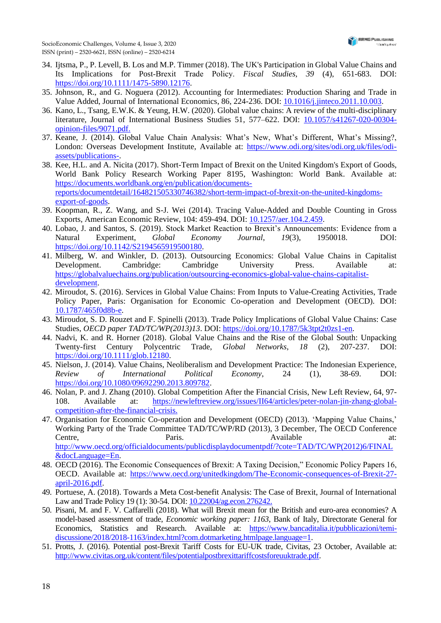SocioEconomic Challenges, Volume 4, Issue 3, 2020 ISSN (print) – 2520-6621, ISSN (online) – 2520-6214

- 34. Ijtsma, P., P. Levell, B. Los and M.P. Timmer (2018). The UK's Participation in Global Value Chains and Its Implications for Post‐Brexit Trade Policy. *Fiscal Studies*, *39* (4), 651-683. DOI: [https://doi.org/10.1111/1475-5890.12176.](https://doi.org/10.1111/1475-5890.12176)
- 35. Johnson, R., and G. Noguera (2012). Accounting for Intermediates: Production Sharing and Trade in Value Added, Journal of International Economics, 86, 224-236. DOI: 10.1016/j.jinteco.2011.10.003.
- 36. Kano, L., Tsang, E.W.K. & Yeung, H.W. (2020). Global value chains: A review of the multi-disciplinary literature, Journal of International Business Studies 51, 577–622. DOI: 10.1057/s41267-020-00304 opinion-files/9071.pdf.
- 37. Keane, J. (2014). Global Value Chain Analysis: What's New, What's Different, What's Missing?, London: Overseas Development Institute, Available at: [https://www.odi.org/sites/odi.org.uk/files/odi](https://www.odi.org/sites/odi.org.uk/files/odi-assets/publications-)[assets/publications-.](https://www.odi.org/sites/odi.org.uk/files/odi-assets/publications-)
- 38. Kee, H.L. and A. Nicita (2017). Short-Term Impact of Brexit on the United Kingdom's Export of Goods, World Bank Policy Research Working Paper 8195, Washington: World Bank. Available at: [https://documents.worldbank.org/en/publication/documents](https://documents.worldbank.org/en/publication/documents-reports/documentdetail/164821505330746382/short-term-impact-of-brexit-on-the-united-kingdoms-export-of-goods)[reports/documentdetail/164821505330746382/short-term-impact-of-brexit-on-the-united-kingdoms](https://documents.worldbank.org/en/publication/documents-reports/documentdetail/164821505330746382/short-term-impact-of-brexit-on-the-united-kingdoms-export-of-goods)[export-of-goods.](https://documents.worldbank.org/en/publication/documents-reports/documentdetail/164821505330746382/short-term-impact-of-brexit-on-the-united-kingdoms-export-of-goods)
- 39. Koopman, R., Z. Wang, and S-J. Wei (2014). Tracing Value-Added and Double Counting in Gross Exports, American Economic Review, 104: 459-494. DOI: 10.1257/aer.104.2.459.
- 40. Lobao, J. and Santos, S. (2019). Stock Market Reaction to Brexit's Announcements: Evidence from a Natural Experiment, *Global Economy Journal*, *19*(3), 1950018. DOI: [https://doi.org/10.1142/S2194565919500180.](https://doi.org/10.1142/S2194565919500180)
- 41. Milberg, W. and Winkler, D. (2013). Outsourcing Economics: Global Value Chains in Capitalist Development. Cambridge: Cambridge University Press. Available at: [https://globalvaluechains.org/publication/outsourcing-economics-global-value-chains-capitalist](https://globalvaluechains.org/publication/outsourcing-economics-global-value-chains-capitalist-development)[development.](https://globalvaluechains.org/publication/outsourcing-economics-global-value-chains-capitalist-development)
- 42. Miroudot, S. (2016). Services in Global Value Chains: From Inputs to Value-Creating Activities, Trade Policy Paper, Paris: Organisation for Economic Co-operation and Development (OECD). DOI: 10.1787/465f0d8b-e.
- 43. Miroudot, S. D. Rouzet and F. Spinelli (2013). Trade Policy Implications of Global Value Chains: Case Studies, *OECD paper TAD/TC/WP*(2013)13. DOI: [https://doi.org/10.1787/5k3tpt2t0zs1-en.](https://doi.org/10.1787/5k3tpt2t0zs1-en)
- 44. Nadvi, K. and R. Horner (2018). Global Value Chains and the Rise of the Global South: Unpacking Twenty-first Century Polycentric Trade, *Global Networks*, *18* (2), 207-237. DOI: https://doi.org/10.1111/glob.12180.
- 45. Nielson, J. (2014). Value Chains, Neoliberalism and Development Practice: The Indonesian Experience, *Review of International Political Economy*, 24 (1), 38-69. DOI: [https://doi.org/10.1080/09692290.2013.809782.](https://doi.org/10.1080/09692290.2013.809782)
- 46. Nolan, P. and J. Zhang (2010). Global Competition After the Financial Crisis, New Left Review, 64, 97- 108. Available at: https://newleftreview.org/issues/II64/articles/peter-nolan-jin-zhang-globalcompetition-after-the-financial-crisis.
- 47. Organisation for Economic Co-operation and Development (OECD) (2013). 'Mapping Value Chains,' Working Party of the Trade Committee TAD/TC/WP/RD (2013), 3 December, The OECD Conference Centre, Paris. Paris. Available at: [http://www.oecd.org/officialdocuments/publicdisplaydocumentpdf/?cote=TAD/TC/WP\(2012\)6/FINAL](http://www.oecd.org/officialdocuments/publicdisplaydocumentpdf/?cote=TAD/TC/WP(2012)6/FINAL&docLanguage=En) [&docLanguage=En.](http://www.oecd.org/officialdocuments/publicdisplaydocumentpdf/?cote=TAD/TC/WP(2012)6/FINAL&docLanguage=En)
- 48. OECD (2016). The Economic Consequences of Brexit: A Taxing Decision," Economic Policy Papers 16, OECD. Available at: [https://www.oecd.org/unitedkingdom/The-Economic-consequences-of-Brexit-27](https://www.oecd.org/unitedkingdom/The-Economic-consequences-of-Brexit-27-april-2016.pdf) [april-2016.pdf.](https://www.oecd.org/unitedkingdom/The-Economic-consequences-of-Brexit-27-april-2016.pdf)
- 49. Portuese, A. (2018). Towards a Meta Cost-benefit Analysis: The Case of Brexit, Journal of International Law and Trade Policy 19 (1): 30-54. DOI: 10.22004/ag.econ.276242.
- 50. Pisani, M. and F. V. Caffarelli (2018). What will Brexit mean for the British and euro-area economies? A model-based assessment of trade, *Economic working paper: 1163*, Bank of Italy, Directorate General for Economics, Statistics and Research. Available at: [https://www.bancaditalia.it/pubblicazioni/temi](https://www.bancaditalia.it/pubblicazioni/temi-discussione/2018/2018-1163/index.html?com.dotmarketing.htmlpage.language=1)[discussione/2018/2018-1163/index.html?com.dotmarketing.htmlpage.language=1.](https://www.bancaditalia.it/pubblicazioni/temi-discussione/2018/2018-1163/index.html?com.dotmarketing.htmlpage.language=1)
- 51. Protts, J. (2016). Potential post-Brexit Tariff Costs for EU-UK trade, Civitas, 23 October, Available at: [http://www.civitas.org.uk/content/files/potentialpostbrexittariffcostsforeuuktrade.pdf.](http://www.civitas.org.uk/content/files/potentialpostbrexittariffcostsforeuuktrade.pdf)